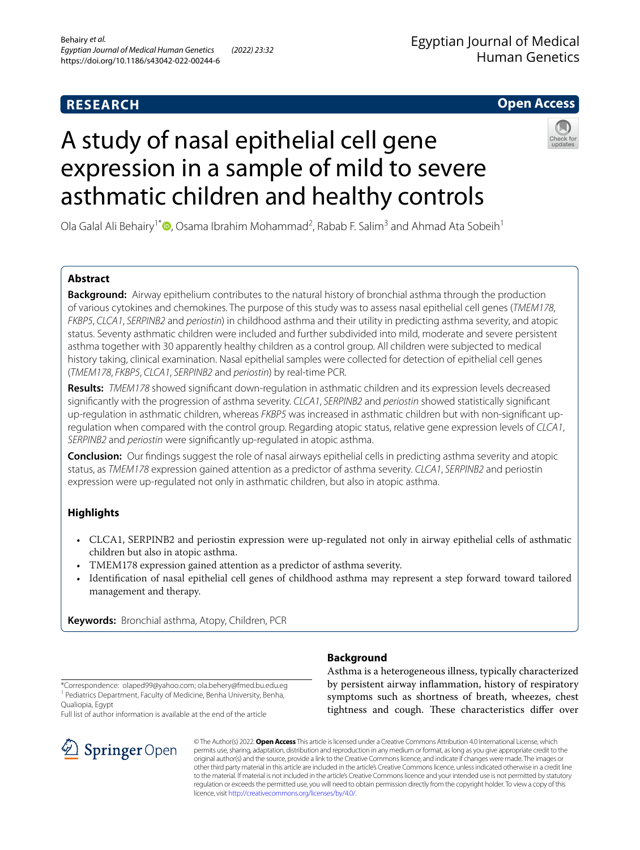## **RESEARCH**

## Egyptian Journal of Medical Human Genetics

**Open Access**

# A study of nasal epithelial cell gene expression in a sample of mild to severe asthmatic children and healthy controls



Ola Galal Ali Behairy<sup>1[\\*](http://orcid.org/0000-0002-1985-4933)</sup><sup>®</sup>, Osama Ibrahim Mohammad<sup>2</sup>, Rabab F. Salim<sup>3</sup> and Ahmad Ata Sobeih<sup>1</sup>

## **Abstract**

**Background:** Airway epithelium contributes to the natural history of bronchial asthma through the production of various cytokines and chemokines. The purpose of this study was to assess nasal epithelial cell genes (*TMEM178*, *FKBP5*, *CLCA1*, *SERPINB2* and *periostin*) in childhood asthma and their utility in predicting asthma severity, and atopic status. Seventy asthmatic children were included and further subdivided into mild, moderate and severe persistent asthma together with 30 apparently healthy children as a control group. All children were subjected to medical history taking, clinical examination. Nasal epithelial samples were collected for detection of epithelial cell genes (*TMEM178*, *FKBP5*, *CLCA1*, *SERPINB2* and *periostin*) by real-time PCR.

**Results:** *TMEM178* showed signifcant down-regulation in asthmatic children and its expression levels decreased signifcantly with the progression of asthma severity. *CLCA1*, *SERPINB2* and *periostin* showed statistically signifcant up-regulation in asthmatic children, whereas *FKBP5* was increased in asthmatic children but with non-signifcant upregulation when compared with the control group. Regarding atopic status, relative gene expression levels of *CLCA1*, *SERPINB2* and *periostin* were signifcantly up-regulated in atopic asthma.

**Conclusion:** Our fndings suggest the role of nasal airways epithelial cells in predicting asthma severity and atopic status, as *TMEM178* expression gained attention as a predictor of asthma severity. *CLCA1*, *SERPINB2* and periostin expression were up-regulated not only in asthmatic children, but also in atopic asthma.

## **Highlights**

- CLCA1, SERPINB2 and periostin expression were up-regulated not only in airway epithelial cells of asthmatic children but also in atopic asthma.
- TMEM178 expression gained attention as a predictor of asthma severity.
- Identifcation of nasal epithelial cell genes of childhood asthma may represent a step forward toward tailored management and therapy.

**Keywords:** Bronchial asthma, Atopy, Children, PCR

## **Background**

\*Correspondence: olaped99@yahoo.com; ola.behery@fmed.bu.edu.eg <sup>1</sup> Pediatrics Department, Faculty of Medicine, Benha University, Benha, Qualiopia, Egypt

Full list of author information is available at the end of the article



Asthma is a heterogeneous illness, typically characterized by persistent airway infammation, history of respiratory symptoms such as shortness of breath, wheezes, chest tightness and cough. These characteristics differ over

© The Author(s) 2022. **Open Access** This article is licensed under a Creative Commons Attribution 4.0 International License, which permits use, sharing, adaptation, distribution and reproduction in any medium or format, as long as you give appropriate credit to the original author(s) and the source, provide a link to the Creative Commons licence, and indicate if changes were made. The images or other third party material in this article are included in the article's Creative Commons licence, unless indicated otherwise in a credit line to the material. If material is not included in the article's Creative Commons licence and your intended use is not permitted by statutory regulation or exceeds the permitted use, you will need to obtain permission directly from the copyright holder. To view a copy of this licence, visit [http://creativecommons.org/licenses/by/4.0/.](http://creativecommons.org/licenses/by/4.0/)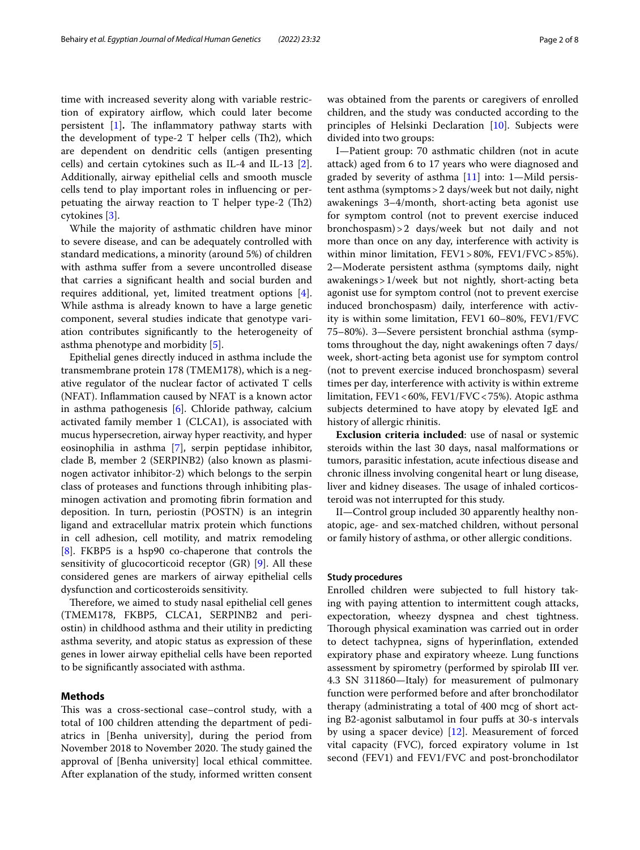time with increased severity along with variable restriction of expiratory airflow, which could later become persistent [[1\]](#page-7-0). The inflammatory pathway starts with the development of type-2  $T$  helper cells (Th2), which are dependent on dendritic cells (antigen presenting cells) and certain cytokines such as IL-4 and IL-13 [\[2](#page-7-1)]. Additionally, airway epithelial cells and smooth muscle cells tend to play important roles in infuencing or perpetuating the airway reaction to  $T$  helper type-2 (Th2) cytokines [\[3](#page-7-2)].

While the majority of asthmatic children have minor to severe disease, and can be adequately controlled with standard medications, a minority (around 5%) of children with asthma sufer from a severe uncontrolled disease that carries a signifcant health and social burden and requires additional, yet, limited treatment options [\[4](#page-7-3)]. While asthma is already known to have a large genetic component, several studies indicate that genotype variation contributes signifcantly to the heterogeneity of asthma phenotype and morbidity [[5\]](#page-7-4).

Epithelial genes directly induced in asthma include the transmembrane protein 178 (TMEM178), which is a negative regulator of the nuclear factor of activated T cells (NFAT). Infammation caused by NFAT is a known actor in asthma pathogenesis [\[6](#page-7-5)]. Chloride pathway, calcium activated family member 1 (CLCA1), is associated with mucus hypersecretion, airway hyper reactivity, and hyper eosinophilia in asthma [[7\]](#page-7-6), serpin peptidase inhibitor, clade B, member 2 (SERPINB2) (also known as plasminogen activator inhibitor-2) which belongs to the serpin class of proteases and functions through inhibiting plasminogen activation and promoting fbrin formation and deposition. In turn, periostin (POSTN) is an integrin ligand and extracellular matrix protein which functions in cell adhesion, cell motility, and matrix remodeling [[8\]](#page-7-7). FKBP5 is a hsp90 co-chaperone that controls the sensitivity of glucocorticoid receptor (GR) [[9\]](#page-7-8). All these considered genes are markers of airway epithelial cells dysfunction and corticosteroids sensitivity.

Therefore, we aimed to study nasal epithelial cell genes (TMEM178, FKBP5, CLCA1, SERPINB2 and periostin) in childhood asthma and their utility in predicting asthma severity, and atopic status as expression of these genes in lower airway epithelial cells have been reported to be signifcantly associated with asthma.

### **Methods**

This was a cross-sectional case-control study, with a total of 100 children attending the department of pediatrics in [Benha university], during the period from November 2018 to November 2020. The study gained the approval of [Benha university] local ethical committee. After explanation of the study, informed written consent was obtained from the parents or caregivers of enrolled children, and the study was conducted according to the principles of Helsinki Declaration [\[10\]](#page-7-9). Subjects were divided into two groups:

I—Patient group: 70 asthmatic children (not in acute attack) aged from 6 to 17 years who were diagnosed and graded by severity of asthma [\[11](#page-7-10)] into: 1—Mild persistent asthma (symptoms>2 days/week but not daily, night awakenings 3–4/month, short-acting beta agonist use for symptom control (not to prevent exercise induced bronchospasm)>2 days/week but not daily and not more than once on any day, interference with activity is within minor limitation, FEV1>80%, FEV1/FVC>85%). 2—Moderate persistent asthma (symptoms daily, night awakenings>1/week but not nightly, short-acting beta agonist use for symptom control (not to prevent exercise induced bronchospasm) daily, interference with activity is within some limitation, FEV1 60–80%, FEV1/FVC 75–80%). 3—Severe persistent bronchial asthma (symptoms throughout the day, night awakenings often 7 days/ week, short-acting beta agonist use for symptom control (not to prevent exercise induced bronchospasm) several times per day, interference with activity is within extreme limitation, FEV1<60%, FEV1/FVC<75%). Atopic asthma subjects determined to have atopy by elevated IgE and history of allergic rhinitis.

**Exclusion criteria included**: use of nasal or systemic steroids within the last 30 days, nasal malformations or tumors, parasitic infestation, acute infectious disease and chronic illness involving congenital heart or lung disease, liver and kidney diseases. The usage of inhaled corticosteroid was not interrupted for this study.

II—Control group included 30 apparently healthy nonatopic, age- and sex-matched children, without personal or family history of asthma, or other allergic conditions.

#### **Study procedures**

Enrolled children were subjected to full history taking with paying attention to intermittent cough attacks, expectoration, wheezy dyspnea and chest tightness. Thorough physical examination was carried out in order to detect tachypnea, signs of hyperinfation, extended expiratory phase and expiratory wheeze. Lung functions assessment by spirometry (performed by spirolab ΙΙΙ ver. 4.3 SN 311860—Italy) for measurement of pulmonary function were performed before and after bronchodilator therapy (administrating a total of 400 mcg of short acting B2-agonist salbutamol in four pufs at 30-s intervals by using a spacer device) [\[12\]](#page-7-11). Measurement of forced vital capacity (FVC), forced expiratory volume in 1st second (FEV1) and FEV1/FVC and post-bronchodilator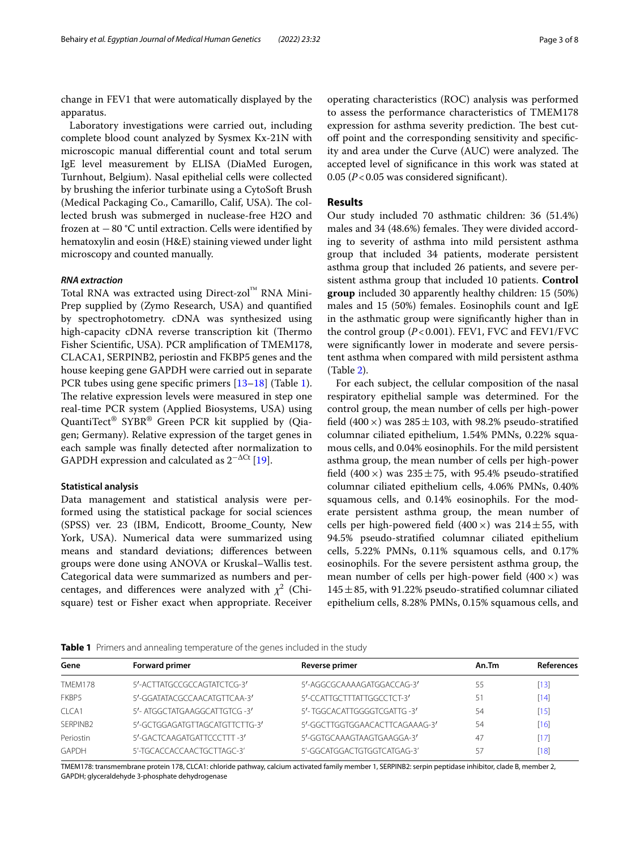change in FEV1 that were automatically displayed by the apparatus.

Laboratory investigations were carried out, including complete blood count analyzed by Sysmex Kx-21N with microscopic manual diferential count and total serum IgE level measurement by ELISA (DiaMed Eurogen, Turnhout, Belgium). Nasal epithelial cells were collected by brushing the inferior turbinate using a CytoSoft Brush (Medical Packaging Co., Camarillo, Calif, USA). The collected brush was submerged in nuclease-free H2O and frozen at −80 °C until extraction. Cells were identifed by hematoxylin and eosin (H&E) staining viewed under light microscopy and counted manually.

#### *RNA extraction*

Total RNA was extracted using Direct-zol™ RNA Mini-Prep supplied by (Zymo Research, USA) and quantifed by spectrophotometry. cDNA was synthesized using high-capacity cDNA reverse transcription kit (Thermo Fisher Scientifc, USA). PCR amplifcation of TMEM178, CLACA1, SERPINB2, periostin and FKBP5 genes and the house keeping gene GAPDH were carried out in separate PCR tubes using gene specifc primers [\[13](#page-7-12)[–18](#page-7-13)] (Table [1](#page-2-0)). The relative expression levels were measured in step one real-time PCR system (Applied Biosystems, USA) using QuantiTect® SYBR® Green PCR kit supplied by (Qiagen; Germany). Relative expression of the target genes in each sample was fnally detected after normalization to GAPDH expression and calculated as  $2^{-\Delta Ct}$  [[19](#page-7-14)].

#### **Statistical analysis**

Data management and statistical analysis were performed using the statistical package for social sciences (SPSS) ver. 23 (IBM, Endicott, Broome\_County, New York, USA). Numerical data were summarized using means and standard deviations; diferences between groups were done using ANOVA or Kruskal–Wallis test. Categorical data were summarized as numbers and percentages, and differences were analyzed with  $\chi^2$  (Chisquare) test or Fisher exact when appropriate. Receiver

operating characteristics (ROC) analysis was performed to assess the performance characteristics of TMEM178 expression for asthma severity prediction. The best cutof point and the corresponding sensitivity and specifcity and area under the Curve (AUC) were analyzed. The accepted level of signifcance in this work was stated at 0.05 (*P*<0.05 was considered signifcant).

#### **Results**

Our study included 70 asthmatic children: 36 (51.4%) males and 34 (48.6%) females. They were divided according to severity of asthma into mild persistent asthma group that included 34 patients, moderate persistent asthma group that included 26 patients, and severe persistent asthma group that included 10 patients. **Control group** included 30 apparently healthy children: 15 (50%) males and 15 (50%) females. Eosinophils count and IgE in the asthmatic group were signifcantly higher than in the control group (*P*<0.001). FEV1, FVC and FEV1/FVC were signifcantly lower in moderate and severe persistent asthma when compared with mild persistent asthma (Table [2\)](#page-3-0).

For each subject, the cellular composition of the nasal respiratory epithelial sample was determined. For the control group, the mean number of cells per high-power field (400  $\times$ ) was 285  $\pm$  103, with 98.2% pseudo-stratified columnar ciliated epithelium, 1.54% PMNs, 0.22% squamous cells, and 0.04% eosinophils. For the mild persistent asthma group, the mean number of cells per high-power field (400  $\times$ ) was 235 ± 75, with 95.4% pseudo-stratified columnar ciliated epithelium cells, 4.06% PMNs, 0.40% squamous cells, and 0.14% eosinophils. For the moderate persistent asthma group, the mean number of cells per high-powered field  $(400 \times)$  was  $214 \pm 55$ , with 94.5% pseudo-stratifed columnar ciliated epithelium cells, 5.22% PMNs, 0.11% squamous cells, and 0.17% eosinophils. For the severe persistent asthma group, the mean number of cells per high-power field  $(400 \times)$  was  $145 \pm 85$ , with 91.22% pseudo-stratified columnar ciliated epithelium cells, 8.28% PMNs, 0.15% squamous cells, and

<span id="page-2-0"></span>

|  |  |  |  |  | Table 1 Primers and annealing temperature of the genes included in the study |  |
|--|--|--|--|--|------------------------------------------------------------------------------|--|
|--|--|--|--|--|------------------------------------------------------------------------------|--|

| Gene                 | <b>Forward primer</b>          | <b>Reverse primer</b>          | An.Tm | <b>References</b> |
|----------------------|--------------------------------|--------------------------------|-------|-------------------|
| <b>TMFM178</b>       | 5'-ACTTATGCCGCCAGTATCTCG-3'    | 5'-AGGCGCAAAAGATGGACCAG-3'     | 55    | $[13]$            |
| FKBP5                | 5'-GGATATACGCCAACATGTTCAA-3'   | 5'-CCATTGCTTTATTGGCCTCT-3'     | 51    | [14]              |
| CICA1                | 5'- ATGGCTATGAAGGCATTGTCG-3'   | 5'- TGGCACATTGGGGTCGATTG -3'   | 54    | [15]              |
| SFRPINB <sub>2</sub> | 5'-GCTGGAGATGTTAGCATGTTCTTG-3' | 5'-GGCTTGGTGGAACACTTCAGAAAG-3' | 54    | [16]              |
| Periostin            | 5'-GACTCAAGATGATTCCCTTT-3'     | 5'-GGTGCAAAGTAAGTGAAGGA-3'     | 47    | [17]              |
| GAPDH                | 5'-TGCACCACCAACTGCTTAGC-3'     | 5'-GGCATGGACTGTGGTCATGAG-3'    | 57    | [18]              |
|                      |                                |                                |       |                   |

TMEM178: transmembrane protein 178, CLCA1: chloride pathway, calcium activated family member 1, SERPINB2: serpin peptidase inhibitor, clade B, member 2, GAPDH; glyceraldehyde 3-phosphate dehydrogenase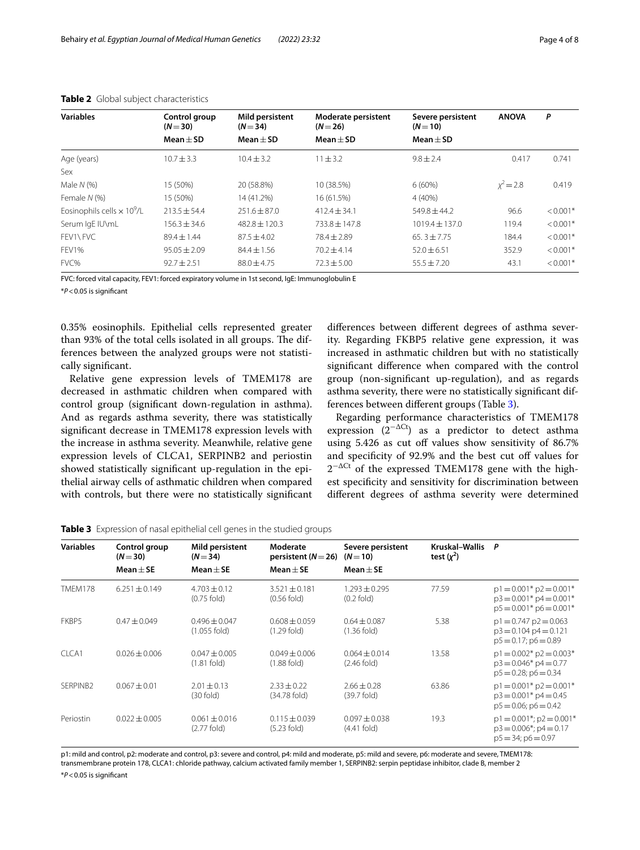| <b>Variables</b>                              | Control group<br>$(N = 30)$ | Mild persistent<br>$(N = 34)$ | Moderate persistent<br>$(N=26)$ | Severe persistent<br>$(N = 10)$ | <b>ANOVA</b> | P          |
|-----------------------------------------------|-----------------------------|-------------------------------|---------------------------------|---------------------------------|--------------|------------|
|                                               | $Mean + SD$                 | $Mean + SD$                   | $Mean + SD$                     | $Mean + SD$                     |              |            |
| Age (years)                                   | $10.7 \pm 3.3$              | $10.4 + 3.2$                  | $11 \pm 3.2$                    | $9.8 + 2.4$                     | 0.417        | 0.741      |
| Sex                                           |                             |                               |                                 |                                 |              |            |
| Male $N$ (%)                                  | 15 (50%)                    | 20 (58.8%)                    | 10 (38.5%)                      | $6(60\%)$                       | $x^2 = 2.8$  | 0.419      |
| Female N (%)                                  | 15 (50%)                    | 14 (41.2%)                    | 16 (61.5%)                      | $4(40\%)$                       |              |            |
| Eosinophils cells $\times$ 10 <sup>9</sup> /L | $213.5 + 54.4$              | $251.6 \pm 87.0$              | $412.4 \pm 34.1$                | $549.8 \pm 44.2$                | 96.6         | $< 0.001*$ |
| Serum IgE IU\mL                               | $156.3 \pm 34.6$            | $482.8 \pm 120.3$             | $733.8 \pm 147.8$               | $1019.4 \pm 137.0$              | 119.4        | $< 0.001*$ |
| FFV1\FVC                                      | $89.4 \pm 1.44$             | $87.5 + 4.02$                 | $78.4 + 2.89$                   | $65.3 \pm 7.75$                 | 184.4        | $< 0.001*$ |
| FFV1%                                         | $95.05 + 2.09$              | $84.4 \pm 1.56$               | $70.2 + 4.14$                   | $52.0 \pm 6.51$                 | 352.9        | $< 0.001*$ |
| FVC%                                          | $92.7 + 2.51$               | $88.0 + 4.75$                 | $72.3 \pm 5.00$                 | $55.5 + 7.20$                   | 43.1         | $< 0.001*$ |

<span id="page-3-0"></span>

| Table 2 Global subject characteristics |  |
|----------------------------------------|--|
|----------------------------------------|--|

FVC: forced vital capacity, FEV1: forced expiratory volume in 1st second, IgE: Immunoglobulin E

\**P*<0.05 is signifcant

0.35% eosinophils. Epithelial cells represented greater than 93% of the total cells isolated in all groups. The differences between the analyzed groups were not statistically signifcant.

Relative gene expression levels of TMEM178 are decreased in asthmatic children when compared with control group (signifcant down-regulation in asthma). And as regards asthma severity, there was statistically signifcant decrease in TMEM178 expression levels with the increase in asthma severity. Meanwhile, relative gene expression levels of CLCA1, SERPINB2 and periostin showed statistically signifcant up-regulation in the epithelial airway cells of asthmatic children when compared with controls, but there were no statistically signifcant

diferences between diferent degrees of asthma severity. Regarding FKBP5 relative gene expression, it was increased in asthmatic children but with no statistically signifcant diference when compared with the control group (non-signifcant up-regulation), and as regards asthma severity, there were no statistically signifcant differences between diferent groups (Table [3\)](#page-3-1).

Regarding performance characteristics of TMEM178 expression  $(2^{-\Delta Ct})$  as a predictor to detect asthma using 5.426 as cut off values show sensitivity of 86.7% and specificity of 92.9% and the best cut off values for  $2^{-\Delta Ct}$  of the expressed TMEM178 gene with the highest specifcity and sensitivity for discrimination between diferent degrees of asthma severity were determined

<span id="page-3-1"></span>

|  |  |  |  |  | Table 3 Expression of nasal epithelial cell genes in the studied groups |  |
|--|--|--|--|--|-------------------------------------------------------------------------|--|
|--|--|--|--|--|-------------------------------------------------------------------------|--|

| <b>Variables</b>     | Control group<br>$(N=30)$ | Mild persistent<br>$(N = 34)$       | Moderate<br>persistent ( $N=26$ )  | Severe persistent<br>$(N=10)$          | Kruskal-Wallis P<br>test $(x^2)$ |                                                                                                 |
|----------------------|---------------------------|-------------------------------------|------------------------------------|----------------------------------------|----------------------------------|-------------------------------------------------------------------------------------------------|
|                      | Mean $\pm$ SE             | $Mean + SE$                         | $Mean + SE$                        | $Mean + SE$                            |                                  |                                                                                                 |
| <b>TMFM178</b>       | $6.251 \pm 0.149$         | $4.703 + 0.12$<br>$(0.75$ fold)     | $3.521 + 0.181$<br>$(0.56$ fold)   | $1.293 + 0.295$<br>$(0.2$ fold)        | 77.59                            | $p1 = 0.001$ * $p2 = 0.001$ *<br>$p3 = 0.001$ * $p4 = 0.001$ *<br>$p5 = 0.001$ * $p6 = 0.001$ * |
| FKBP5                | $0.47 \pm 0.049$          | $0.496 \pm 0.047$<br>$(1.055$ fold) | $0.608 + 0.059$<br>$(1.29$ fold)   | $0.64 \pm 0.087$<br>$(1.36$ fold)      | 5.38                             | $p1 = 0.747 p2 = 0.063$<br>$p3 = 0.104 p4 = 0.121$<br>$p5 = 0.17$ ; $p6 = 0.89$                 |
| CICA1                | $0.026 \pm 0.006$         | $0.047 + 0.005$<br>$(1.81$ fold)    | $0.049 + 0.006$<br>$(1.88$ fold)   | $0.064 + 0.014$<br>$(2.46$ fold)       | 13.58                            | $p1 = 0.002$ * $p2 = 0.003$ *<br>$p3 = 0.046* p4 = 0.77$<br>$p5 = 0.28$ ; $p6 = 0.34$           |
| SFRPINB <sub>2</sub> | $0.067 + 0.01$            | $2.01 \pm 0.13$<br>$(30$ fold)      | $2.33 \pm 0.22$<br>(34.78 fold)    | $2.66 + 0.28$<br>$(39.7 \text{ fold})$ | 63.86                            | $p1 = 0.001$ * $p2 = 0.001$ *<br>$p3 = 0.001$ * $p4 = 0.45$<br>$p5 = 0.06$ ; $p6 = 0.42$        |
| Periostin            | $0.022 \pm 0.005$         | $0.061 + 0.016$<br>$(2.77$ fold)    | $0.115 \pm 0.039$<br>$(5.23$ fold) | $0.097 \pm 0.038$<br>$(4.41$ fold)     | 19.3                             | $p1 = 0.001$ *; $p2 = 0.001$ *<br>$p3 = 0.006$ *; $p4 = 0.17$<br>$p5 = 34$ ; $p6 = 0.97$        |

p1: mild and control, p2: moderate and control, p3: severe and control, p4: mild and moderate, p5: mild and severe, p6: moderate and severe, TMEM178: transmembrane protein 178, CLCA1: chloride pathway, calcium activated family member 1, SERPINB2: serpin peptidase inhibitor, clade B, member 2 \**P*<0.05 is signifcant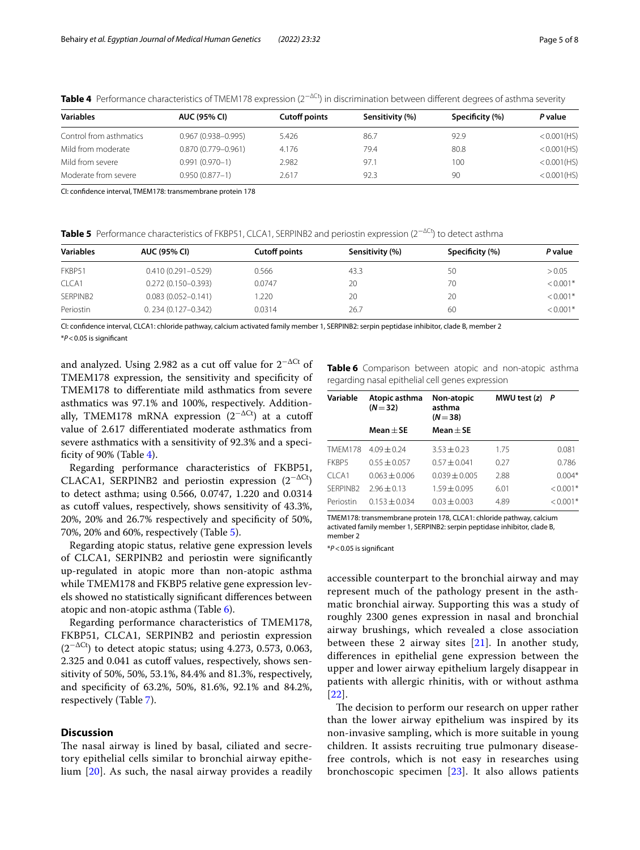| <b>Variables</b>        | <b>AUC (95% CI)</b>    | <b>Cutoff points</b> | Sensitivity (%) | Specificity (%) | P value        |
|-------------------------|------------------------|----------------------|-----------------|-----------------|----------------|
| Control from asthmatics | $0.967(0.938 - 0.995)$ | 5.426                | 86.7            | 92.9            | $< 0.001$ (HS) |
| Mild from moderate      | $0.870(0.779 - 0.961)$ | 4.176                | 79.4            | 80.8            | $< 0.001$ (HS) |
| Mild from severe        | $0.991(0.970-1)$       | 2.982                | 97.1            | 100             | < 0.001(HS)    |
| Moderate from severe    | $0.950(0.877 - 1)$     | 2.617                | 92.3            | 90              | < 0.001(HS)    |

<span id="page-4-0"></span>**Table 4** Performance characteristics of TMEM178 expression (2−∆Ct) in discrimination between diferent degrees of asthma severity

CI: confdence interval, TMEM178: transmembrane protein 178

<span id="page-4-1"></span>**Table 5** Performance characteristics of FKBP51, CLCA1, SERPINB2 and periostin expression (2−∆Ct) to detect asthma

| <b>Variables</b> | <b>AUC (95% CI)</b>    | <b>Cutoff points</b> | Sensitivity (%) | Specificity (%) | P value    |
|------------------|------------------------|----------------------|-----------------|-----------------|------------|
| FKBP51           | $0.410(0.291 - 0.529)$ | 0.566                | 43.3            | 50              | > 0.05     |
| CLCA1            | $0.272(0.150 - 0.393)$ | 0.0747               | 20              | 70              | $< 0.001*$ |
| SERPINB2         | $0.083(0.052 - 0.141)$ | .220                 | 20              | 20              | $< 0.001*$ |
| Periostin        | $0.234(0.127 - 0.342)$ | 0.0314               | 26.7            | 60              | $< 0.001*$ |

CI: confdence interval, CLCA1: chloride pathway, calcium activated family member 1, SERPINB2: serpin peptidase inhibitor, clade B, member 2 \**P*<0.05 is signifcant

and analyzed. Using 2.982 as a cut off value for  $2^{-\Delta Ct}$  of TMEM178 expression, the sensitivity and specifcity of TMEM178 to diferentiate mild asthmatics from severe asthmatics was 97.1% and 100%, respectively. Additionally, TMEM178 mRNA expression (2<sup>- $\Delta$ Ct</sup>) at a cutoff value of 2.617 diferentiated moderate asthmatics from severe asthmatics with a sensitivity of 92.3% and a specificity of 90% (Table  $4$ ).

Regarding performance characteristics of FKBP51, CLACA1, SERPINB2 and periostin expression  $(2^{-\Delta Ct})$ to detect asthma; using 0.566, 0.0747, 1.220 and 0.0314 as cutoff values, respectively, shows sensitivity of 43.3%, 20%, 20% and 26.7% respectively and specifcity of 50%, 70%, 20% and 60%, respectively (Table [5](#page-4-1)).

Regarding atopic status, relative gene expression levels of CLCA1, SERPINB2 and periostin were signifcantly up-regulated in atopic more than non-atopic asthma while TMEM178 and FKBP5 relative gene expression levels showed no statistically signifcant diferences between atopic and non-atopic asthma (Table [6](#page-4-2)).

Regarding performance characteristics of TMEM178, FKBP51, CLCA1, SERPINB2 and periostin expression  $(2^{-\Delta Ct})$  to detect atopic status; using 4.273, 0.573, 0.063, 2.325 and 0.041 as cutoff values, respectively, shows sensitivity of 50%, 50%, 53.1%, 84.4% and 81.3%, respectively, and specifcity of 63.2%, 50%, 81.6%, 92.1% and 84.2%, respectively (Table [7](#page-5-0)).

#### **Discussion**

The nasal airway is lined by basal, ciliated and secretory epithelial cells similar to bronchial airway epithelium [[20\]](#page-7-19). As such, the nasal airway provides a readily <span id="page-4-2"></span>**Table 6** Comparison between atopic and non-atopic asthma regarding nasal epithelial cell genes expression

| Variable<br>Atopic asthma<br>$(N = 32)$ |                 | Non-atopic<br>asthma<br>$(N=38)$ | MWU test $(z)$ | P          |  |
|-----------------------------------------|-----------------|----------------------------------|----------------|------------|--|
|                                         | $Mean + SE$     | Mean $\pm$ SE                    |                |            |  |
| <b>TMFM178</b>                          | $4.09 + 0.24$   | $3.53 + 0.23$                    | 1.75           | 0.081      |  |
| FKBP5                                   | $0.55 + 0.057$  | $0.57 + 0.041$                   | 0.27           | 0.786      |  |
| CICA1                                   | $0.063 + 0.006$ | $0.039 + 0.005$                  | 2.88           | $0.004*$   |  |
| SFRPINB <sub>2</sub>                    | $7.96 \pm 0.13$ | $1.59 + 0.095$                   | 6.01           | $< 0.001*$ |  |
| Periostin                               | $0.153 + 0.034$ | $0.03 + 0.003$                   | 4.89           | $< 0.001*$ |  |

TMEM178: transmembrane protein 178, CLCA1: chloride pathway, calcium activated family member 1, SERPINB2: serpin peptidase inhibitor, clade B, member 2

\**P*<0.05 is signifcant

accessible counterpart to the bronchial airway and may represent much of the pathology present in the asthmatic bronchial airway. Supporting this was a study of roughly 2300 genes expression in nasal and bronchial airway brushings, which revealed a close association between these 2 airway sites  $[21]$  $[21]$ . In another study, diferences in epithelial gene expression between the upper and lower airway epithelium largely disappear in patients with allergic rhinitis, with or without asthma [[22](#page-7-21)].

The decision to perform our research on upper rather than the lower airway epithelium was inspired by its non-invasive sampling, which is more suitable in young children. It assists recruiting true pulmonary diseasefree controls, which is not easy in researches using bronchoscopic specimen  $[23]$  $[23]$  $[23]$ . It also allows patients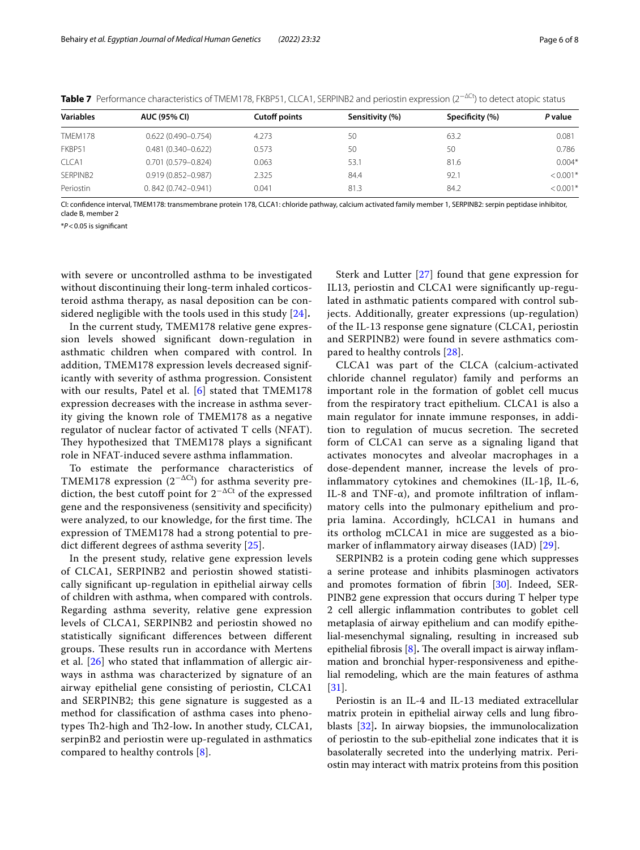| <b>AUC (95% CI)</b>    | <b>Cutoff points</b> | Sensitivity (%) | Specificity (%) | P value    |
|------------------------|----------------------|-----------------|-----------------|------------|
| $0.622(0.490 - 0.754)$ | 4.273                | 50              | 63.2            | 0.081      |
| $0.481(0.340 - 0.622)$ | 0.573                | 50              | 50              | 0.786      |
| $0.701(0.579 - 0.824)$ | 0.063                | 53.1            | 81.6            | $0.004*$   |
| $0.919(0.852 - 0.987)$ | 2.325                | 84.4            | 92.1            | $< 0.001*$ |
| $0.842(0.742 - 0.941)$ | 0.041                | 81.3            | 84.2            | $< 0.001*$ |
|                        |                      |                 |                 |            |

<span id="page-5-0"></span>Table 7 Performance characteristics of TMEM178, FKBP51, CLCA1, SERPINB2 and periostin expression (2<sup>−∆Ct</sup>) to detect atopic status

CI: confdence interval, TMEM178: transmembrane protein 178, CLCA1: chloride pathway, calcium activated family member 1, SERPINB2: serpin peptidase inhibitor, clade B, member 2

\**P*<0.05 is signifcant

with severe or uncontrolled asthma to be investigated without discontinuing their long-term inhaled corticosteroid asthma therapy, as nasal deposition can be considered negligible with the tools used in this study [[24](#page-7-23)]**.**

In the current study, TMEM178 relative gene expression levels showed signifcant down-regulation in asthmatic children when compared with control. In addition, TMEM178 expression levels decreased significantly with severity of asthma progression. Consistent with our results, Patel et al. [\[6\]](#page-7-5) stated that TMEM178 expression decreases with the increase in asthma severity giving the known role of TMEM178 as a negative regulator of nuclear factor of activated T cells (NFAT). They hypothesized that TMEM178 plays a significant role in NFAT-induced severe asthma infammation.

To estimate the performance characteristics of TMEM178 expression  $(2^{-\Delta Ct})$  for asthma severity prediction, the best cutoff point for  $2^{-\Delta Ct}$  of the expressed gene and the responsiveness (sensitivity and specifcity) were analyzed, to our knowledge, for the first time. The expression of TMEM178 had a strong potential to predict diferent degrees of asthma severity [[25\]](#page-7-24).

In the present study, relative gene expression levels of CLCA1, SERPINB2 and periostin showed statistically signifcant up-regulation in epithelial airway cells of children with asthma, when compared with controls. Regarding asthma severity, relative gene expression levels of CLCA1, SERPINB2 and periostin showed no statistically signifcant diferences between diferent groups. These results run in accordance with Mertens et al. [\[26](#page-7-25)] who stated that infammation of allergic airways in asthma was characterized by signature of an airway epithelial gene consisting of periostin, CLCA1 and SERPINB2; this gene signature is suggested as a method for classifcation of asthma cases into phenotypes Th2-high and Th2-low. In another study, CLCA1, serpinB2 and periostin were up-regulated in asthmatics compared to healthy controls  $[8]$  $[8]$ .

Sterk and Lutter [[27](#page-7-26)] found that gene expression for IL13, periostin and CLCA1 were signifcantly up-regulated in asthmatic patients compared with control subjects. Additionally, greater expressions (up-regulation) of the IL-13 response gene signature (CLCA1, periostin and SERPINB2) were found in severe asthmatics compared to healthy controls [[28\]](#page-7-27).

CLCA1 was part of the CLCA (calcium-activated chloride channel regulator) family and performs an important role in the formation of goblet cell mucus from the respiratory tract epithelium. CLCA1 is also a main regulator for innate immune responses, in addition to regulation of mucus secretion. The secreted form of CLCA1 can serve as a signaling ligand that activates monocytes and alveolar macrophages in a dose-dependent manner, increase the levels of proinfammatory cytokines and chemokines (IL-1β, IL-6, IL-8 and TNF- $\alpha$ ), and promote infiltration of inflammatory cells into the pulmonary epithelium and propria lamina. Accordingly, hCLCA1 in humans and its ortholog mCLCA1 in mice are suggested as a biomarker of infammatory airway diseases (IAD) [\[29\]](#page-7-28).

SERPINB2 is a protein coding gene which suppresses a serine protease and inhibits plasminogen activators and promotes formation of fibrin [\[30](#page-7-29)]. Indeed, SER-PINB2 gene expression that occurs during T helper type 2 cell allergic inflammation contributes to goblet cell metaplasia of airway epithelium and can modify epithelial-mesenchymal signaling, resulting in increased sub epithelial fibrosis [[8\]](#page-7-7). The overall impact is airway inflammation and bronchial hyper-responsiveness and epithelial remodeling, which are the main features of asthma [[31\]](#page-7-30).

Periostin is an IL-4 and IL-13 mediated extracellular matrix protein in epithelial airway cells and lung fbroblasts [\[32](#page-7-31)]**.** In airway biopsies, the immunolocalization of periostin to the sub-epithelial zone indicates that it is basolaterally secreted into the underlying matrix. Periostin may interact with matrix proteins from this position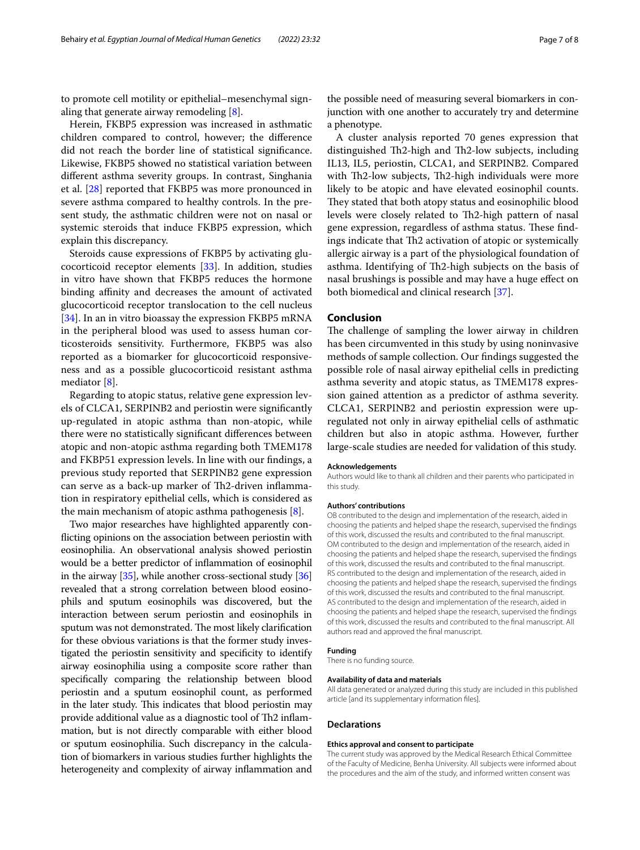to promote cell motility or epithelial–mesenchymal signaling that generate airway remodeling [[8\]](#page-7-7).

Herein, FKBP5 expression was increased in asthmatic children compared to control, however; the diference did not reach the border line of statistical signifcance. Likewise, FKBP5 showed no statistical variation between diferent asthma severity groups. In contrast, Singhania et al. [[28](#page-7-27)] reported that FKBP5 was more pronounced in severe asthma compared to healthy controls. In the present study, the asthmatic children were not on nasal or systemic steroids that induce FKBP5 expression, which explain this discrepancy.

Steroids cause expressions of FKBP5 by activating glucocorticoid receptor elements [\[33](#page-7-32)]. In addition, studies in vitro have shown that FKBP5 reduces the hormone binding affinity and decreases the amount of activated glucocorticoid receptor translocation to the cell nucleus [[34\]](#page-7-33). In an in vitro bioassay the expression FKBP5 mRNA in the peripheral blood was used to assess human corticosteroids sensitivity. Furthermore, FKBP5 was also reported as a biomarker for glucocorticoid responsiveness and as a possible glucocorticoid resistant asthma mediator [\[8](#page-7-7)].

Regarding to atopic status, relative gene expression levels of CLCA1, SERPINB2 and periostin were signifcantly up-regulated in atopic asthma than non-atopic, while there were no statistically signifcant diferences between atopic and non-atopic asthma regarding both TMEM178 and FKBP51 expression levels. In line with our fndings, a previous study reported that SERPINB2 gene expression can serve as a back-up marker of Th2-driven inflammation in respiratory epithelial cells, which is considered as the main mechanism of atopic asthma pathogenesis [[8\]](#page-7-7).

Two major researches have highlighted apparently conficting opinions on the association between periostin with eosinophilia. An observational analysis showed periostin would be a better predictor of infammation of eosinophil in the airway [\[35\]](#page-7-34), while another cross-sectional study [[36](#page-7-35)] revealed that a strong correlation between blood eosinophils and sputum eosinophils was discovered, but the interaction between serum periostin and eosinophils in sputum was not demonstrated. The most likely clarification for these obvious variations is that the former study investigated the periostin sensitivity and specifcity to identify airway eosinophilia using a composite score rather than specifcally comparing the relationship between blood periostin and a sputum eosinophil count, as performed in the later study. This indicates that blood periostin may provide additional value as a diagnostic tool of Th2 inflammation, but is not directly comparable with either blood or sputum eosinophilia. Such discrepancy in the calculation of biomarkers in various studies further highlights the heterogeneity and complexity of airway infammation and

the possible need of measuring several biomarkers in conjunction with one another to accurately try and determine a phenotype.

A cluster analysis reported 70 genes expression that distinguished Th2-high and Th2-low subjects, including IL13, IL5, periostin, CLCA1, and SERPINB2. Compared with Th2-low subjects, Th2-high individuals were more likely to be atopic and have elevated eosinophil counts. They stated that both atopy status and eosinophilic blood levels were closely related to Th2-high pattern of nasal gene expression, regardless of asthma status. These findings indicate that Th2 activation of atopic or systemically allergic airway is a part of the physiological foundation of asthma. Identifying of Th2-high subjects on the basis of nasal brushings is possible and may have a huge efect on both biomedical and clinical research [[37](#page-7-36)].

#### **Conclusion**

The challenge of sampling the lower airway in children has been circumvented in this study by using noninvasive methods of sample collection. Our fndings suggested the possible role of nasal airway epithelial cells in predicting asthma severity and atopic status, as TMEM178 expression gained attention as a predictor of asthma severity. CLCA1, SERPINB2 and periostin expression were upregulated not only in airway epithelial cells of asthmatic children but also in atopic asthma. However, further large-scale studies are needed for validation of this study.

#### **Acknowledgements**

Authors would like to thank all children and their parents who participated in this study.

#### **Authors' contributions**

OB contributed to the design and implementation of the research, aided in choosing the patients and helped shape the research, supervised the fndings of this work, discussed the results and contributed to the fnal manuscript. OM contributed to the design and implementation of the research, aided in choosing the patients and helped shape the research, supervised the fndings of this work, discussed the results and contributed to the fnal manuscript. RS contributed to the design and implementation of the research, aided in choosing the patients and helped shape the research, supervised the fndings of this work, discussed the results and contributed to the fnal manuscript. AS contributed to the design and implementation of the research, aided in choosing the patients and helped shape the research, supervised the fndings of this work, discussed the results and contributed to the fnal manuscript. All authors read and approved the fnal manuscript.

#### **Funding**

There is no funding source.

#### **Availability of data and materials**

All data generated or analyzed during this study are included in this published article [and its supplementary information fles].

#### **Declarations**

#### **Ethics approval and consent to participate**

The current study was approved by the Medical Research Ethical Committee of the Faculty of Medicine, Benha University. All subjects were informed about the procedures and the aim of the study, and informed written consent was